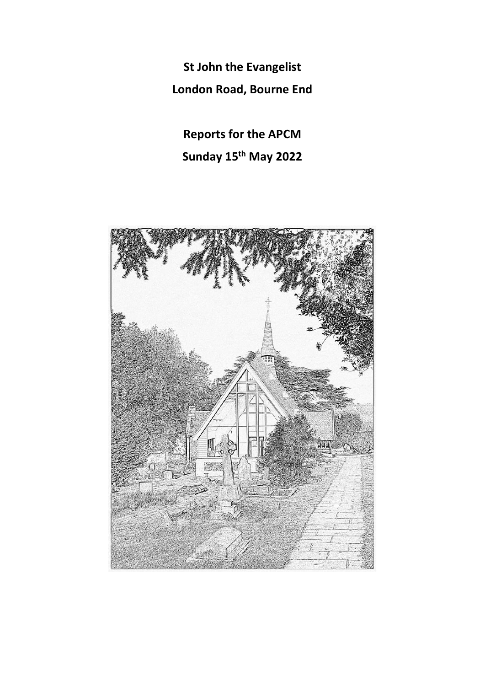**St John the Evangelist London Road, Bourne End**

**Reports for the APCM Sunday 15th May 2022**

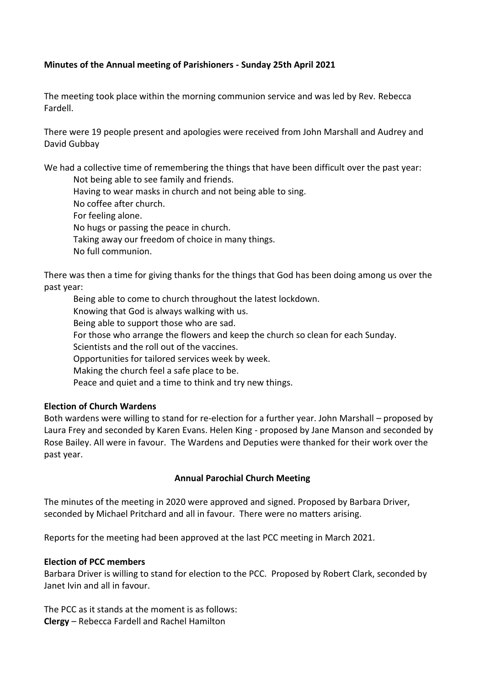### **Minutes of the Annual meeting of Parishioners - Sunday 25th April 2021**

The meeting took place within the morning communion service and was led by Rev. Rebecca Fardell.

There were 19 people present and apologies were received from John Marshall and Audrey and David Gubbay

We had a collective time of remembering the things that have been difficult over the past year: Not being able to see family and friends.

- Having to wear masks in church and not being able to sing.
- No coffee after church.
- For feeling alone.
- No hugs or passing the peace in church.
- Taking away our freedom of choice in many things.
- No full communion.

There was then a time for giving thanks for the things that God has been doing among us over the past year:

Being able to come to church throughout the latest lockdown. Knowing that God is always walking with us. Being able to support those who are sad. For those who arrange the flowers and keep the church so clean for each Sunday. Scientists and the roll out of the vaccines. Opportunities for tailored services week by week. Making the church feel a safe place to be. Peace and quiet and a time to think and try new things.

# **Election of Church Wardens**

Both wardens were willing to stand for re-election for a further year. John Marshall – proposed by Laura Frey and seconded by Karen Evans. Helen King - proposed by Jane Manson and seconded by Rose Bailey. All were in favour. The Wardens and Deputies were thanked for their work over the past year.

#### **Annual Parochial Church Meeting**

The minutes of the meeting in 2020 were approved and signed. Proposed by Barbara Driver, seconded by Michael Pritchard and all in favour. There were no matters arising.

Reports for the meeting had been approved at the last PCC meeting in March 2021.

#### **Election of PCC members**

Barbara Driver is willing to stand for election to the PCC. Proposed by Robert Clark, seconded by Janet Ivin and all in favour.

The PCC as it stands at the moment is as follows: **Clergy** – Rebecca Fardell and Rachel Hamilton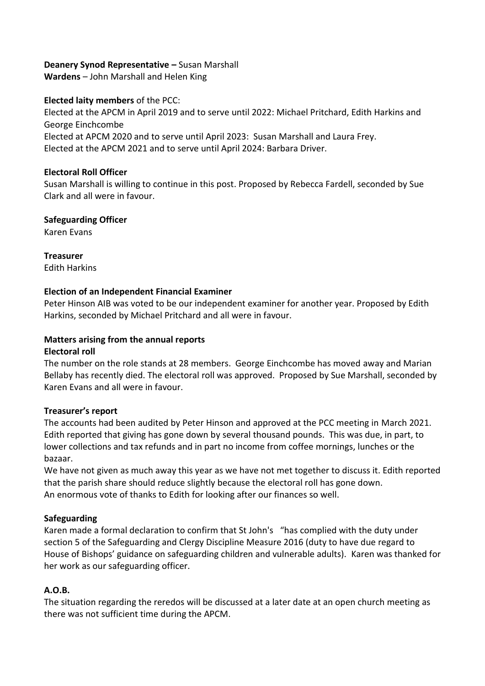# **Deanery Synod Representative –** Susan Marshall

**Wardens** – John Marshall and Helen King

### **Elected laity members** of the PCC:

Elected at the APCM in April 2019 and to serve until 2022: Michael Pritchard, Edith Harkins and George Einchcombe Elected at APCM 2020 and to serve until April 2023: Susan Marshall and Laura Frey. Elected at the APCM 2021 and to serve until April 2024: Barbara Driver.

### **Electoral Roll Officer**

Susan Marshall is willing to continue in this post. Proposed by Rebecca Fardell, seconded by Sue Clark and all were in favour.

### **Safeguarding Officer**

Karen Evans

**Treasurer** Edith Harkins

# **Election of an Independent Financial Examiner**

Peter Hinson AIB was voted to be our independent examiner for another year. Proposed by Edith Harkins, seconded by Michael Pritchard and all were in favour.

#### **Matters arising from the annual reports Electoral roll**

The number on the role stands at 28 members. George Einchcombe has moved away and Marian Bellaby has recently died. The electoral roll was approved. Proposed by Sue Marshall, seconded by Karen Evans and all were in favour.

# **Treasurer's report**

The accounts had been audited by Peter Hinson and approved at the PCC meeting in March 2021. Edith reported that giving has gone down by several thousand pounds. This was due, in part, to lower collections and tax refunds and in part no income from coffee mornings, lunches or the bazaar.

We have not given as much away this year as we have not met together to discuss it. Edith reported that the parish share should reduce slightly because the electoral roll has gone down. An enormous vote of thanks to Edith for looking after our finances so well.

#### **Safeguarding**

Karen made a formal declaration to confirm that St John's "has complied with the duty under section 5 of the Safeguarding and Clergy Discipline Measure 2016 (duty to have due regard to House of Bishops' guidance on safeguarding children and vulnerable adults). Karen was thanked for her work as our safeguarding officer.

# **A.O.B.**

The situation regarding the reredos will be discussed at a later date at an open church meeting as there was not sufficient time during the APCM.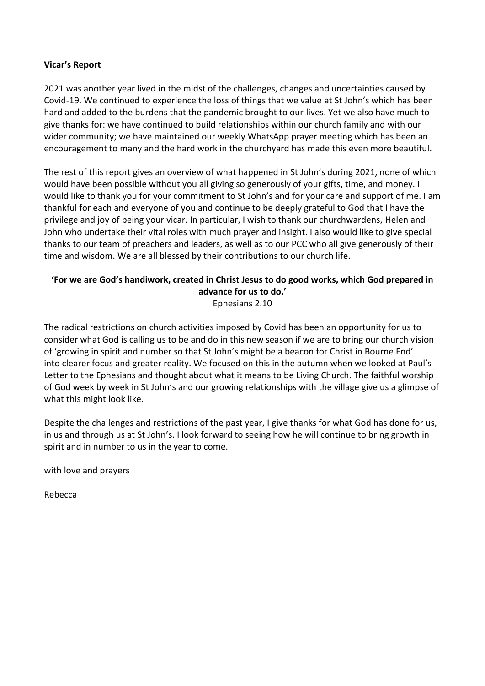### **Vicar's Report**

2021 was another year lived in the midst of the challenges, changes and uncertainties caused by Covid-19. We continued to experience the loss of things that we value at St John's which has been hard and added to the burdens that the pandemic brought to our lives. Yet we also have much to give thanks for: we have continued to build relationships within our church family and with our wider community; we have maintained our weekly WhatsApp prayer meeting which has been an encouragement to many and the hard work in the churchyard has made this even more beautiful.

The rest of this report gives an overview of what happened in St John's during 2021, none of which would have been possible without you all giving so generously of your gifts, time, and money. I would like to thank you for your commitment to St John's and for your care and support of me. I am thankful for each and everyone of you and continue to be deeply grateful to God that I have the privilege and joy of being your vicar. In particular, I wish to thank our churchwardens, Helen and John who undertake their vital roles with much prayer and insight. I also would like to give special thanks to our team of preachers and leaders, as well as to our PCC who all give generously of their time and wisdom. We are all blessed by their contributions to our church life.

# **'For we are God's handiwork, created in Christ Jesus to do good works, which God prepared in advance for us to do.'**

Ephesians 2.10

The radical restrictions on church activities imposed by Covid has been an opportunity for us to consider what God is calling us to be and do in this new season if we are to bring our church vision of 'growing in spirit and number so that St John's might be a beacon for Christ in Bourne End' into clearer focus and greater reality. We focused on this in the autumn when we looked at Paul's Letter to the Ephesians and thought about what it means to be Living Church. The faithful worship of God week by week in St John's and our growing relationships with the village give us a glimpse of what this might look like.

Despite the challenges and restrictions of the past year, I give thanks for what God has done for us, in us and through us at St John's. I look forward to seeing how he will continue to bring growth in spirit and in number to us in the year to come.

with love and prayers

Rebecca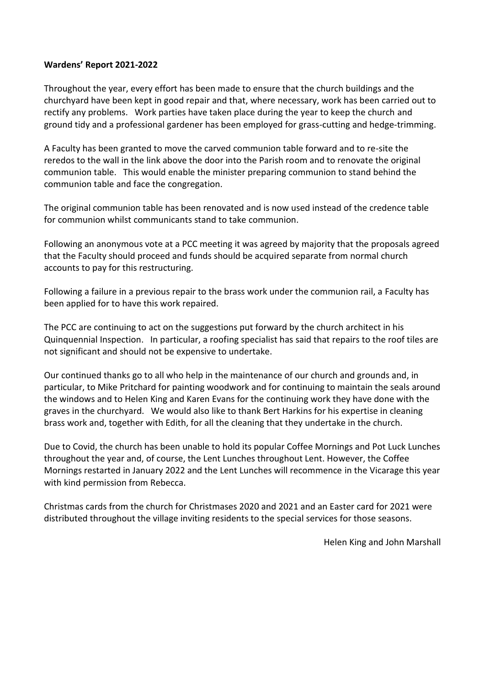#### **Wardens' Report 2021-2022**

Throughout the year, every effort has been made to ensure that the church buildings and the churchyard have been kept in good repair and that, where necessary, work has been carried out to rectify any problems. Work parties have taken place during the year to keep the church and ground tidy and a professional gardener has been employed for grass-cutting and hedge-trimming.

A Faculty has been granted to move the carved communion table forward and to re-site the reredos to the wall in the link above the door into the Parish room and to renovate the original communion table. This would enable the minister preparing communion to stand behind the communion table and face the congregation.

The original communion table has been renovated and is now used instead of the credence table for communion whilst communicants stand to take communion.

Following an anonymous vote at a PCC meeting it was agreed by majority that the proposals agreed that the Faculty should proceed and funds should be acquired separate from normal church accounts to pay for this restructuring.

Following a failure in a previous repair to the brass work under the communion rail, a Faculty has been applied for to have this work repaired.

The PCC are continuing to act on the suggestions put forward by the church architect in his Quinquennial Inspection. In particular, a roofing specialist has said that repairs to the roof tiles are not significant and should not be expensive to undertake.

Our continued thanks go to all who help in the maintenance of our church and grounds and, in particular, to Mike Pritchard for painting woodwork and for continuing to maintain the seals around the windows and to Helen King and Karen Evans for the continuing work they have done with the graves in the churchyard. We would also like to thank Bert Harkins for his expertise in cleaning brass work and, together with Edith, for all the cleaning that they undertake in the church.

Due to Covid, the church has been unable to hold its popular Coffee Mornings and Pot Luck Lunches throughout the year and, of course, the Lent Lunches throughout Lent. However, the Coffee Mornings restarted in January 2022 and the Lent Lunches will recommence in the Vicarage this year with kind permission from Rebecca.

Christmas cards from the church for Christmases 2020 and 2021 and an Easter card for 2021 were distributed throughout the village inviting residents to the special services for those seasons.

Helen King and John Marshall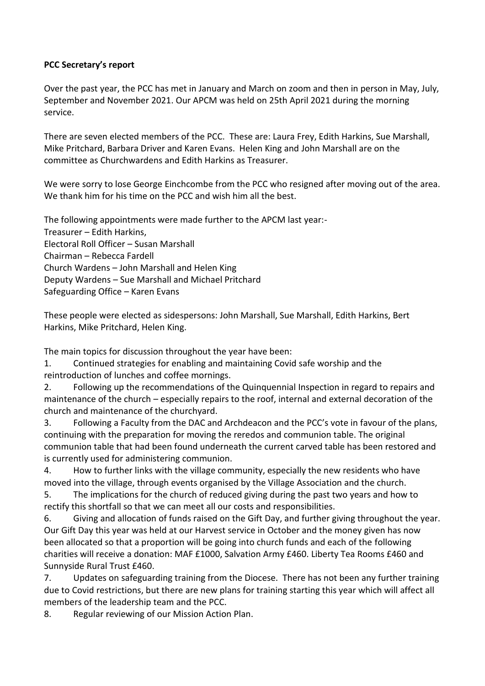# **PCC Secretary's report**

Over the past year, the PCC has met in January and March on zoom and then in person in May, July, September and November 2021. Our APCM was held on 25th April 2021 during the morning service.

There are seven elected members of the PCC. These are: Laura Frey, Edith Harkins, Sue Marshall, Mike Pritchard, Barbara Driver and Karen Evans. Helen King and John Marshall are on the committee as Churchwardens and Edith Harkins as Treasurer.

We were sorry to lose George Einchcombe from the PCC who resigned after moving out of the area. We thank him for his time on the PCC and wish him all the best.

The following appointments were made further to the APCM last year:- Treasurer – Edith Harkins, Electoral Roll Officer – Susan Marshall Chairman – Rebecca Fardell Church Wardens – John Marshall and Helen King Deputy Wardens – Sue Marshall and Michael Pritchard Safeguarding Office – Karen Evans

These people were elected as sidespersons: John Marshall, Sue Marshall, Edith Harkins, Bert Harkins, Mike Pritchard, Helen King.

The main topics for discussion throughout the year have been:

1. Continued strategies for enabling and maintaining Covid safe worship and the reintroduction of lunches and coffee mornings.

2. Following up the recommendations of the Quinquennial Inspection in regard to repairs and maintenance of the church – especially repairs to the roof, internal and external decoration of the church and maintenance of the churchyard.

3. Following a Faculty from the DAC and Archdeacon and the PCC's vote in favour of the plans, continuing with the preparation for moving the reredos and communion table. The original communion table that had been found underneath the current carved table has been restored and is currently used for administering communion.

4. How to further links with the village community, especially the new residents who have moved into the village, through events organised by the Village Association and the church.

5. The implications for the church of reduced giving during the past two years and how to rectify this shortfall so that we can meet all our costs and responsibilities.

6. Giving and allocation of funds raised on the Gift Day, and further giving throughout the year. Our Gift Day this year was held at our Harvest service in October and the money given has now been allocated so that a proportion will be going into church funds and each of the following charities will receive a donation: MAF £1000, Salvation Army £460. Liberty Tea Rooms £460 and Sunnyside Rural Trust £460.

7. Updates on safeguarding training from the Diocese. There has not been any further training due to Covid restrictions, but there are new plans for training starting this year which will affect all members of the leadership team and the PCC.

8. Regular reviewing of our Mission Action Plan.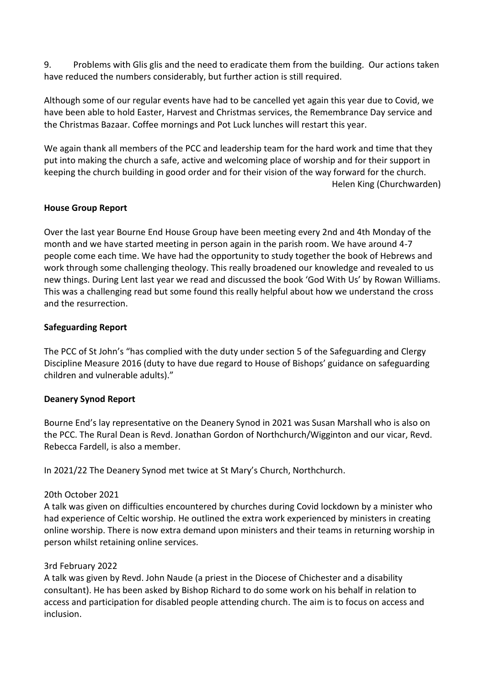9. Problems with Glis glis and the need to eradicate them from the building. Our actions taken have reduced the numbers considerably, but further action is still required.

Although some of our regular events have had to be cancelled yet again this year due to Covid, we have been able to hold Easter, Harvest and Christmas services, the Remembrance Day service and the Christmas Bazaar. Coffee mornings and Pot Luck lunches will restart this year.

We again thank all members of the PCC and leadership team for the hard work and time that they put into making the church a safe, active and welcoming place of worship and for their support in keeping the church building in good order and for their vision of the way forward for the church. Helen King (Churchwarden)

### **House Group Report**

Over the last year Bourne End House Group have been meeting every 2nd and 4th Monday of the month and we have started meeting in person again in the parish room. We have around 4-7 people come each time. We have had the opportunity to study together the book of Hebrews and work through some challenging theology. This really broadened our knowledge and revealed to us new things. During Lent last year we read and discussed the book 'God With Us' by Rowan Williams. This was a challenging read but some found this really helpful about how we understand the cross and the resurrection.

### **Safeguarding Report**

The PCC of St John's "has complied with the duty under section 5 of the Safeguarding and Clergy Discipline Measure 2016 (duty to have due regard to House of Bishops' guidance on safeguarding children and vulnerable adults)."

# **Deanery Synod Report**

Bourne End's lay representative on the Deanery Synod in 2021 was Susan Marshall who is also on the PCC. The Rural Dean is Revd. Jonathan Gordon of Northchurch/Wigginton and our vicar, Revd. Rebecca Fardell, is also a member.

In 2021/22 The Deanery Synod met twice at St Mary's Church, Northchurch.

#### 20th October 2021

A talk was given on difficulties encountered by churches during Covid lockdown by a minister who had experience of Celtic worship. He outlined the extra work experienced by ministers in creating online worship. There is now extra demand upon ministers and their teams in returning worship in person whilst retaining online services.

#### 3rd February 2022

A talk was given by Revd. John Naude (a priest in the Diocese of Chichester and a disability consultant). He has been asked by Bishop Richard to do some work on his behalf in relation to access and participation for disabled people attending church. The aim is to focus on access and inclusion.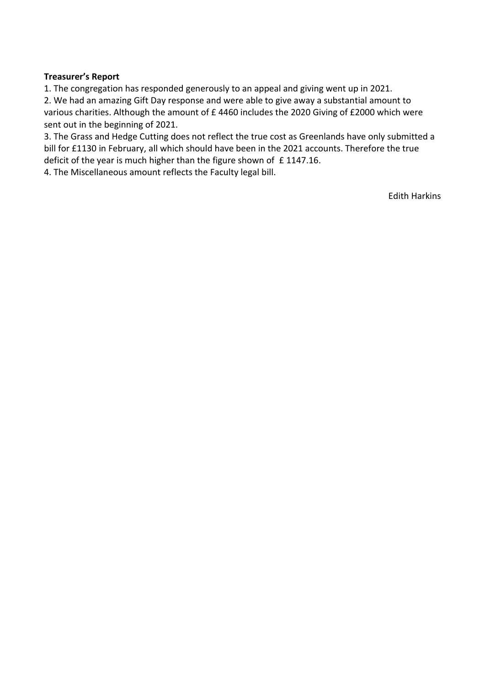### **Treasurer's Report**

1. The congregation has responded generously to an appeal and giving went up in 2021.

2. We had an amazing Gift Day response and were able to give away a substantial amount to various charities. Although the amount of £ 4460 includes the 2020 Giving of £2000 which were sent out in the beginning of 2021.

3. The Grass and Hedge Cutting does not reflect the true cost as Greenlands have only submitted a bill for £1130 in February, all which should have been in the 2021 accounts. Therefore the true deficit of the year is much higher than the figure shown of £1147.16.

4. The Miscellaneous amount reflects the Faculty legal bill.

Edith Harkins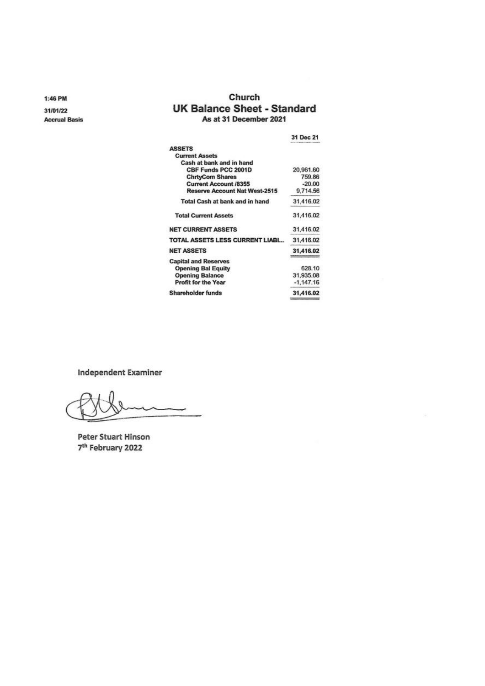1:46 PM

31/01/22 **Accrual Basis** 

### Church **UK Balance Sheet - Standard** As at 31 December 2021

| 31 Dec 21   |
|-------------|
|             |
|             |
|             |
| 20,961.60   |
| 759.86      |
| $-20.00$    |
| 9,714.56    |
| 31,416.02   |
| 31,416.02   |
| 31,416.02   |
| 31,416.02   |
| 31,416.02   |
|             |
| 628.10      |
| 31,935.08   |
| $-1.147.16$ |
| 31,416.02   |
|             |

**Independent Examiner** 

**Peter Stuart Hinson** 7<sup>th</sup> February 2022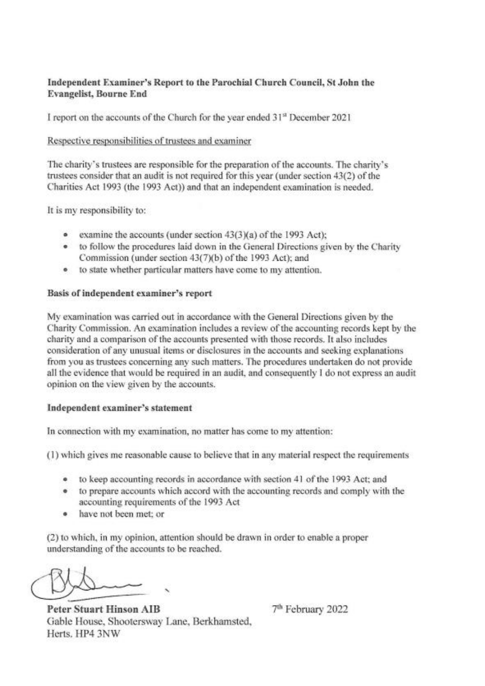# Independent Examiner's Report to the Parochial Church Council, St John the **Evangelist**, Bourne End

I report on the accounts of the Church for the year ended 31<sup>st</sup> December 2021

### Respective responsibilities of trustees and examiner

The charity's trustees are responsible for the preparation of the accounts. The charity's trustees consider that an audit is not required for this year (under section 43(2) of the Charities Act 1993 (the 1993 Act)) and that an independent examination is needed.

It is my responsibility to:

- examine the accounts (under section 43(3)(a) of the 1993 Act);
- to follow the procedures laid down in the General Directions given by the Charity Commission (under section 43(7)(b) of the 1993 Act); and
- to state whether particular matters have come to my attention.

### Basis of independent examiner's report

My examination was carried out in accordance with the General Directions given by the Charity Commission. An examination includes a review of the accounting records kept by the charity and a comparison of the accounts presented with those records. It also includes consideration of any unusual items or disclosures in the accounts and seeking explanations from you as trustees concerning any such matters. The procedures undertaken do not provide all the evidence that would be required in an audit, and consequently I do not express an audit opinion on the view given by the accounts.

#### Independent examiner's statement

In connection with my examination, no matter has come to my attention:

(1) which gives me reasonable cause to believe that in any material respect the requirements

- to keep accounting records in accordance with section 41 of the 1993 Act; and  $\bullet$
- to prepare accounts which accord with the accounting records and comply with the accounting requirements of the 1993 Act
- have not been met: or  $\bullet$

(2) to which, in my opinion, attention should be drawn in order to enable a proper understanding of the accounts to be reached.

**Peter Stuart Hinson AIB** Gable House, Shootersway Lane, Berkhamsted, Herts, HP4 3NW

7<sup>th</sup> February 2022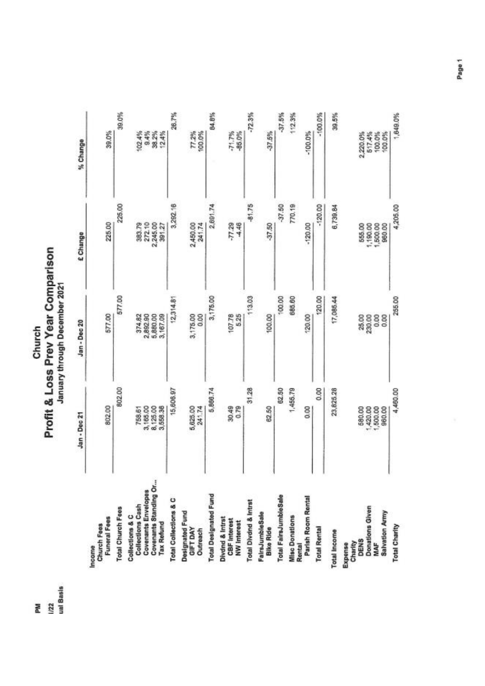Church<br>Profit & Loss Prev Year Comparison

PM<br>|/22<br>|ual Basis

|                                                                               | Jan - Dec 21                           | Jan - Dec 20                    | £ Change                                 | % Change                               |
|-------------------------------------------------------------------------------|----------------------------------------|---------------------------------|------------------------------------------|----------------------------------------|
| <b>Funeral Fees</b><br>Church Fees<br>Income                                  | 802.00                                 | 577.00                          | 225.00                                   | 39.0%                                  |
| <b>Total Church Fees</b>                                                      | 802.00                                 | 577.00                          | 225.00                                   | 39.0%                                  |
| Collections Cash<br>Collections & C                                           | 758.61                                 | 374.82                          | 383.79                                   | 102.4%                                 |
| <b>Covenants Envelopes</b>                                                    | 3,165.00                               | 2,892.90                        | 272.10                                   | 9.4%                                   |
| Covenants Standing Or<br><b>Tax Refund</b>                                    | 8,125.00<br>3,558.36                   | 5,880.00<br>3,167.09            | 2,245.00<br>391.27                       | 38.2%<br>12.4%                         |
| Total Collections & C                                                         | 15,606.97                              | 12,314.81                       | 3,292.16                                 | 26.7%                                  |
| Designated Fund<br><b>GIFT DAY</b><br>Outreach                                | 5,625.00<br>241.74                     | 3,175.00<br>0.00                | 2,450.00<br>241.74                       | 77.2%<br>100.0%                        |
| <b>Total Designated Fund</b>                                                  | 5,866.74                               | 3,175.00                        | 2,691.74                                 | 84.8%                                  |
| Divdnd & Intrst<br>CBF Interest<br>NW Interest                                | 30.49<br>0.79                          | 107.78<br>5.25                  | $-77.29$<br>$-4.46$                      | $-71.7%$<br>-85.0%                     |
| Total Divdnd & Intrst                                                         | 31,28                                  | 113.03                          | $-81.75$                                 | $-72.3%$                               |
| FairsJumbleSale<br>Bike Ride                                                  | 62.50                                  | 100.00                          | -37.50                                   | $-37.5%$                               |
| Total FairsJumbleSale                                                         | 62.50                                  | 100.00                          | $-37.50$                                 | $-37.5%$                               |
| Misc Donations<br>Rental                                                      | 1,455.79                               | 685.60                          | 770,19                                   | 112.3%                                 |
| Parish Room Rental                                                            | 0.00                                   | 120.00                          | $-120.00$                                | $-100.0%$                              |
| <b>Total Rental</b>                                                           | 0.00                                   | 120.00                          | $-120.00$                                | $-100.0\%$                             |
| <b>Total Income</b>                                                           | 23,825.28                              | 17,085.44                       | 6,739.84                                 | 39.5%                                  |
| Donations Given<br><b>Salvation Army</b><br>DENS<br>Charity<br>MAF<br>Expense | 420.00<br>1,500.00<br>960.00<br>580,00 | 230.00<br>0.00<br>25.00<br>0.00 | 1,190,00<br>1,500,00<br>960,00<br>555.00 | 517.4%<br>2,220.0%<br>100.0%<br>100.0% |
| Total Charity                                                                 | 4,480.00                               | 255.00                          | 4,205.00                                 | 1,649.0%                               |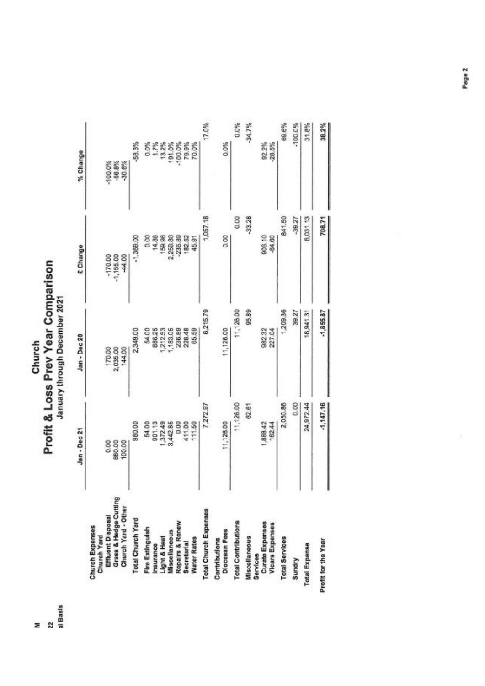Church<br>Profit & Loss Prev Year Comparison

|                                                                                                     | Jan - Dec 21             | Jan-Dec 20                   | £ Change                           | % Change                           |
|-----------------------------------------------------------------------------------------------------|--------------------------|------------------------------|------------------------------------|------------------------------------|
| Grass & Hedge Cutting<br>Church Yard - Other<br>Effluent Disposal<br>Church Expenses<br>Church Yard | 880.00<br>0.00<br>100.00 | 170.00<br>2,035.00<br>144.00 | $-170.00$<br>$-1,155.00$<br>-44.00 | $-100.0\%$<br>$-56.8%$<br>$-30.6%$ |
| Total Church Yard                                                                                   | 980.00                   | 2,349.00                     | $-1,369.00$                        | $-58.3%$                           |
| Fire Extinguish                                                                                     | 54.00                    | 54.00                        | 0.00                               | 0.0%                               |
| Insurance                                                                                           | 901.13                   | 886.25                       | 14.88                              |                                    |
| Light & Heat                                                                                        | 1,372.49                 | 212.53                       | 159.96                             | 13.2%                              |
| Miscellaneous                                                                                       | 3,442.85                 | ,183.05                      | 2,259.80                           | 191.0%                             |
| Repairs & Renew                                                                                     | 0.00                     | 236.89                       | $-236.89$                          | $-100.0%$                          |
| Secretarial                                                                                         | 411.00                   | 228.48                       | 182.52                             | 79.9%                              |
| <b>Water Rates</b>                                                                                  | 111.50                   | 65.59                        | 45.91                              | 70.0%                              |
| Total Church Expenses                                                                               | 7,272.97                 | 6,215.79                     | 1,057.18                           | 17.0%                              |
| Diocesan Fees<br>Contributions                                                                      | 11,126.00                | 11,128.00                    | 0.00                               | 0.0%                               |
| <b>Total Contributions</b>                                                                          | 11,126.00                | 11,126.00                    | 0.00                               | 0.0%                               |
| <b>Miscellaneous</b><br>Services                                                                    | 62.61                    | 95.89                        | $-33.28$                           | $-34.7%$                           |
| Curate Expenses<br><b>Vicars Expenses</b>                                                           | 1,888.42<br>162.44       | 982.32<br>227.04             | 906.10<br>-84.60                   | 82.2%<br>$-28.5%$                  |
| <b>Total Services</b>                                                                               | 2,050.86                 | 1,209.36                     | 841.50                             | 69.6%                              |
| Sundry                                                                                              | 0.00                     | 39.27                        | $-39.27$                           | $-100.0%$                          |
| <b>Total Expense</b>                                                                                | 24,972.44                | 18,941.31                    | 6,031.13                           | 31.8%                              |
| Profit for the Year                                                                                 | $-1,147.16$              | $-1,855.87$                  | 708.71                             | 38.2%                              |

z